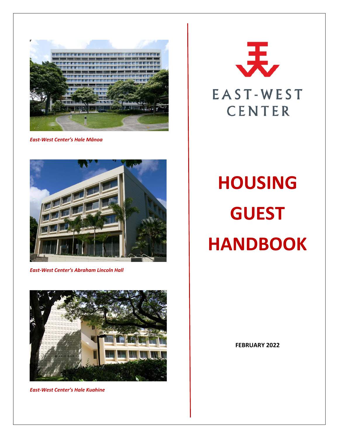

*East‐West Center's Hale Mānoa* 



*East‐West Center's Abraham Lincoln Hall* 



*East‐West Center's Hale Kuahine*



# **HOUSING GUEST HANDBOOK**

**FEBRUARY 2022**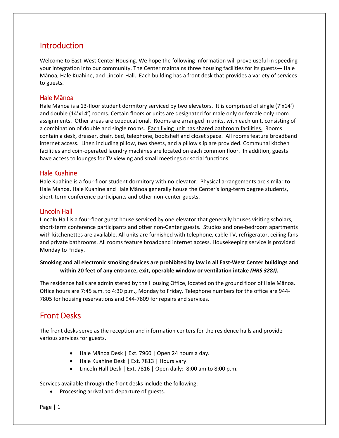# Introduction

Welcome to East-West Center Housing. We hope the following information will prove useful in speeding your integration into our community. The Center maintains three housing facilities for its guests— Hale Mānoa, Hale Kuahine, and Lincoln Hall. Each building has a front desk that provides a variety of services to guests.

#### Hale Mānoa

Hale Mānoa is a 13-floor student dormitory serviced by two elevators. It is comprised of single (7'x14') and double (14'x14') rooms. Certain floors or units are designated for male only or female only room assignments. Other areas are coeducational. Rooms are arranged in units, with each unit, consisting of a combination of double and single rooms. Each living unit has shared bathroom facilities. Rooms contain a desk, dresser, chair, bed, telephone, bookshelf and closet space. All rooms feature broadband internet access. Linen including pillow, two sheets, and a pillow slip are provided. Communal kitchen facilities and coin‐operated laundry machines are located on each common floor. In addition, guests have access to lounges for TV viewing and small meetings or social functions.

#### Hale Kuahine

Hale Kuahine is a four‐floor student dormitory with no elevator. Physical arrangements are similar to Hale Manoa. Hale Kuahine and Hale Mānoa generally house the Center's long-term degree students, short-term conference participants and other non-center guests.

#### Lincoln Hall

Lincoln Hall is a four‐floor guest house serviced by one elevator that generally houses visiting scholars, short-term conference participants and other non-Center guests. Studios and one-bedroom apartments with kitchenettes are available. All units are furnished with telephone, cable TV, refrigerator, ceiling fans and private bathrooms. All rooms feature broadband internet access. Housekeeping service is provided Monday to Friday.

#### **Smoking and all electronic smoking devices are prohibited by law in all East‐West Center buildings and within 20 feet of any entrance, exit, operable window or ventilation intake** *(HRS 328J)***.**

The residence halls are administered by the Housing Office, located on the ground floor of Hale Mānoa. Office hours are 7:45 a.m. to 4:30 p.m., Monday to Friday. Telephone numbers for the office are 944‐ 7805 for housing reservations and 944‐7809 for repairs and services.

# Front Desks

The front desks serve as the reception and information centers for the residence halls and provide various services for guests.

- Hale Mānoa Desk | Ext. 7960 | Open 24 hours a day.
- Hale Kuahine Desk | Ext. 7813 | Hours vary.
- Lincoln Hall Desk | Ext. 7816 | Open daily: 8:00 am to 8:00 p.m.

Services available through the front desks include the following:

• Processing arrival and departure of guests.

Page | 1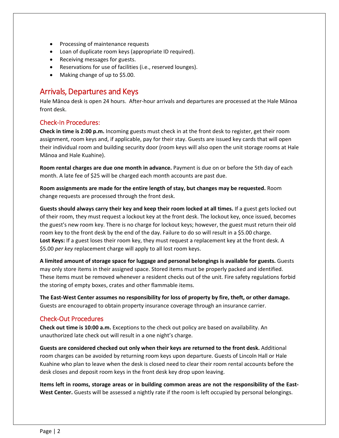- Processing of maintenance requests
- Loan of duplicate room keys (appropriate ID required).
- Receiving messages for guests.
- Reservations for use of facilities (i.e., reserved lounges).
- Making change of up to \$5.00.

## Arrivals, Departures and Keys

Hale Mānoa desk is open 24 hours. After‐hour arrivals and departures are processed at the Hale Mānoa front desk.

#### Check‐In Procedures:

**Check in time is 2:00 p.m.** Incoming guests must check in at the front desk to register, get their room assignment, room keys and, if applicable, pay for their stay. Guests are issued key cards that will open their individual room and building security door (room keys will also open the unit storage rooms at Hale Mānoa and Hale Kuahine).

**Room rental charges are due one month in advance.** Payment is due on or before the 5th day of each month. A late fee of \$25 will be charged each month accounts are past due.

**Room assignments are made for the entire length of stay, but changes may be requested.** Room change requests are processed through the front desk.

**Guests should always carry their key and keep their room locked at all times.** If a guest gets locked out of their room, they must request a lockout key at the front desk. The lockout key, once issued, becomes the guest's new room key. There is no charge for lockout keys; however, the guest must return their old room key to the front desk by the end of the day. Failure to do so will result in a \$5.00 charge. **Lost Keys:** If a guest loses their room key, they must request a replacement key at the front desk. A \$5.00 *per key* replacement charge will apply to all lost room keys.

**A limited amount of storage space for luggage and personal belongings is available for guests.** Guests may only store items in their assigned space. Stored items must be properly packed and identified. These items must be removed whenever a resident checks out of the unit. Fire safety regulations forbid the storing of empty boxes, crates and other flammable items.

**The East‐West Center assumes no responsibility for loss of property by fire, theft, or other damage.** Guests are encouraged to obtain property insurance coverage through an insurance carrier.

#### Check‐Out Procedures

**Check out time is 10:00 a.m.** Exceptions to the check out policy are based on availability. An unauthorized late check out will result in a one night's charge.

**Guests are considered checked out only when their keys are returned to the front desk.** Additional room charges can be avoided by returning room keys upon departure. Guests of Lincoln Hall or Hale Kuahine who plan to leave when the desk is closed need to clear their room rental accounts before the desk closes and deposit room keys in the front desk key drop upon leaving.

**Items left in rooms, storage areas or in building common areas are not the responsibility of the East‐** West Center. Guests will be assessed a nightly rate if the room is left occupied by personal belongings.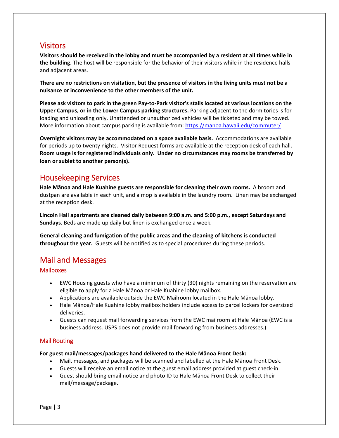# **Visitors**

**Visitors should be received in the lobby and must be accompanied by a resident at all times while in the building.** The host will be responsible for the behavior of their visitors while in the residence halls and adjacent areas.

**There are no restrictions on visitation, but the presence of visitors in the living units must not be a nuisance or inconvenience to the other members of the unit.**

**Please ask visitors to park in the green Pay‐to‐Park visitor's stalls located at various locations on the Upper Campus, or in the Lower Campus parking structures.** Parking adjacent to the dormitories is for loading and unloading only. Unattended or unauthorized vehicles will be ticketed and may be towed. More information about campus parking is available from: https://manoa.hawaii.edu/commuter/

**Overnight visitors may be accommodated on a space available basis.** Accommodations are available for periods up to twenty nights. Visitor Request forms are available at the reception desk of each hall. **Room usage is for registered individuals only. Under no circumstances may rooms be transferred by loan or sublet to another person(s).**

# Housekeeping Services

**Hale Mānoa and Hale Kuahine guests are responsible for cleaning their own rooms.** A broom and dustpan are available in each unit, and a mop is available in the laundry room. Linen may be exchanged at the reception desk.

**Lincoln Hall apartments are cleaned daily between 9:00 a.m. and 5:00 p.m., except Saturdays and Sundays.** Beds are made up daily but linen is exchanged once a week.

**General cleaning and fumigation of the public areas and the cleaning of kitchens is conducted throughout the year.** Guests will be notified as to special procedures during these periods.

# Mail and Messages

#### **Mailboxes**

- EWC Housing guests who have a minimum of thirty (30) nights remaining on the reservation are eligible to apply for a Hale Mānoa or Hale Kuahine lobby mailbox.
- Applications are available outside the EWC Mailroom located in the Hale Mānoa lobby.
- Hale Mānoa/Hale Kuahine lobby mailbox holders include access to parcel lockers for oversized deliveries.
- Guests can request mail forwarding services from the EWC mailroom at Hale Mānoa (EWC is a business address. USPS does not provide mail forwarding from business addresses.)

#### Mail Routing

#### **For guest mail/messages/packages hand delivered to the Hale Mānoa Front Desk:**

- Mail, messages, and packages will be scanned and labelled at the Hale Mānoa Front Desk.
- Guests will receive an email notice at the guest email address provided at guest check‐in.
- Guest should bring email notice and photo ID to Hale Mānoa Front Desk to collect their mail/message/package.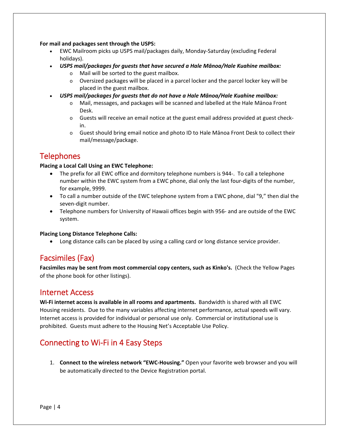**For mail and packages sent through the USPS:** 

- EWC Mailroom picks up USPS mail/packages daily, Monday‐Saturday (excluding Federal holidays).
- *USPS mail/packages for guests that have secured a Hale Mānoa/Hale Kuahine mailbox:*
	- o Mail will be sorted to the guest mailbox.
	- o Oversized packages will be placed in a parcel locker and the parcel locker key will be placed in the guest mailbox.
- *USPS mail/packages for guests that do not have a Hale Mānoa/Hale Kuahine mailbox:*
	- o Mail, messages, and packages will be scanned and labelled at the Hale Mānoa Front Desk.
	- o Guests will receive an email notice at the guest email address provided at guest check‐ in.
	- $\circ$  Guest should bring email notice and photo ID to Hale Mānoa Front Desk to collect their mail/message/package.

# **Telephones**

#### **Placing a Local Call Using an EWC Telephone:**

- The prefix for all EWC office and dormitory telephone numbers is 944‐. To call a telephone number within the EWC system from a EWC phone, dial only the last four‐digits of the number, for example, 9999.
- To call a number outside of the EWC telephone system from a EWC phone, dial "9," then dial the seven‐digit number.
- Telephone numbers for University of Hawaii offices begin with 956- and are outside of the EWC system.

#### **Placing Long Distance Telephone Calls:**

Long distance calls can be placed by using a calling card or long distance service provider.

# Facsimiles (Fax)

**Facsimiles may be sent from most commercial copy centers, such as Kinko's.** (Check the Yellow Pages of the phone book for other listings).

## Internet Access

**Wi‐Fi internet access is available in all rooms and apartments.** Bandwidth is shared with all EWC Housing residents. Due to the many variables affecting internet performance, actual speeds will vary. Internet access is provided for individual or personal use only. Commercial or institutional use is prohibited. Guests must adhere to the Housing Net's Acceptable Use Policy.

# Connecting to Wi‐Fi in 4 Easy Steps

1. **Connect to the wireless network "EWC‐Housing."** Open your favorite web browser and you will be automatically directed to the Device Registration portal.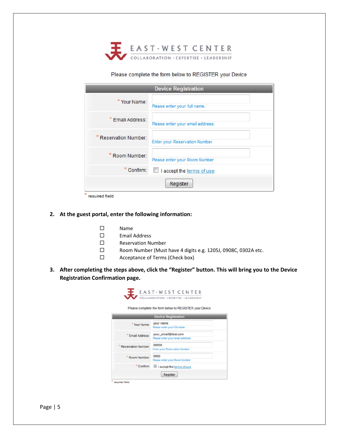

#### Please complete the form below to REGISTER your Device

|                            | <b>Device Registration</b>           |
|----------------------------|--------------------------------------|
| * Your Name:               | Please enter your full name.         |
| Email Address:             | Please enter your email address.     |
| <b>Reservation Number:</b> | <b>Enter your Reservation Number</b> |
| Room Number:               | Please enter your Room Number        |
| Confirm:                   | I accept the terms of use            |
|                            | Register                             |

#### **2. At the guest portal, enter the following information:**

- Name
- Email Address
- Reservation Number
- □ Room Number (Must have 4 digits e.g. 1205J, 0908C, 0302A etc.
- □ Acceptance of Terms (Check box)
- **3. After completing the steps above, click the "Register" button. This will bring you to the Device Registration Confirmation page.**

|                            | Please complete the form below to REGISTER your Device  |
|----------------------------|---------------------------------------------------------|
| <b>Device Registration</b> |                                                         |
| Your Name:                 | your name<br>Please enter your full name.               |
| Email Address:             | your_email@test.com<br>Please enter your email address. |
| Reservation Number:        | 00000<br><b>Enter your Reservation Number</b>           |
| Room Number:               | 0000<br>Please enter your Room Number                   |
| Confirm:                   | I accept the terms of use                               |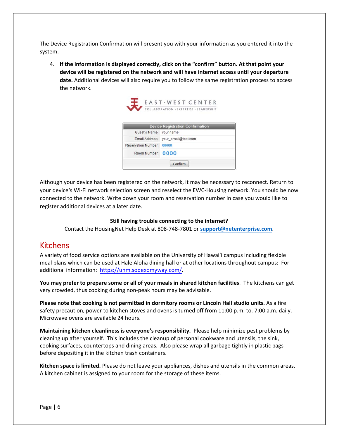The Device Registration Confirmation will present you with your information as you entered it into the system.

4. **If the information is displayed correctly, click on the "confirm" button. At that point your device will be registered on the network and will have internet access until your departure date.** Additional devices will also require you to follow the same registration process to access the network.



|                            | <b>Device incipation committee!</b> |
|----------------------------|-------------------------------------|
| Guest's Name: your name    |                                     |
|                            | Email Address: your_email@test.com  |
| <b>Reservation Number:</b> | 00000                               |
| Room Number: 0000          |                                     |
|                            | Confirm                             |

Although your device has been registered on the network, it may be necessary to reconnect. Return to your deviceʻs Wi‐Fi network selection screen and reselect the EWC‐Housing network. You should be now connected to the network. Write down your room and reservation number in case you would like to register additional devices at a later date.

#### **Still having trouble connecting to the internet?**

Contact the HousingNet Help Desk at 808‐748‐7801 or **support@netenterprise.com**.

## Kitchens

A variety of food service options are available on the University of Hawaiʻi campus including flexible meal plans which can be used at Hale Aloha dining hall or at other locations throughout campus: For additional information: https://uhm.sodexomyway.com/.

**You may prefer to prepare some or all of your meals in shared kitchen facilities**. The kitchens can get very crowded, thus cooking during non‐peak hours may be advisable.

**Please note that cooking is not permitted in dormitory rooms or Lincoln Hall studio units.** As a fire safety precaution, power to kitchen stoves and ovens is turned off from 11:00 p.m. to. 7:00 a.m. daily. Microwave ovens are available 24 hours.

**Maintaining kitchen cleanliness is everyone's responsibility.** Please help minimize pest problems by cleaning up after yourself. This includes the cleanup of personal cookware and utensils, the sink, cooking surfaces, countertops and dining areas. Also please wrap all garbage tightly in plastic bags before depositing it in the kitchen trash containers.

**Kitchen space is limited.** Please do not leave your appliances, dishes and utensils in the common areas. A kitchen cabinet is assigned to your room for the storage of these items.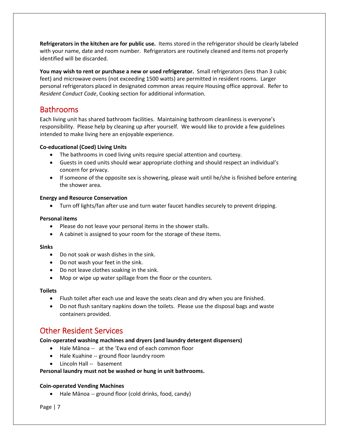**Refrigerators in the kitchen are for public use.** Items stored in the refrigerator should be clearly labeled with your name, date and room number. Refrigerators are routinely cleaned and items not properly identified will be discarded.

**You may wish to rent or purchase a new or used refrigerator.** Small refrigerators (less than 3 cubic feet) and microwave ovens (not exceeding 1500 watts) are permitted in resident rooms. Larger personal refrigerators placed in designated common areas require Housing office approval. Refer to *Resident Conduct Code*, Cooking section for additional information.

## **Bathrooms**

Each living unit has shared bathroom facilities. Maintaining bathroom cleanliness is everyone's responsibility. Please help by cleaning up after yourself. We would like to provide a few guidelines intended to make living here an enjoyable experience.

#### **Co‐educational (Coed) Living Units**

- The bathrooms in coed living units require special attention and courtesy.
- Guests in coed units should wear appropriate clothing and should respect an individual's concern for privacy.
- $\bullet$  If someone of the opposite sex is showering, please wait until he/she is finished before entering the shower area.

#### **Energy and Resource Conservation**

Turn off lights/fan after use and turn water faucet handles securely to prevent dripping.

#### **Personal items**

- Please do not leave your personal items in the shower stalls.
- A cabinet is assigned to your room for the storage of these items.

#### **Sinks**

- Do not soak or wash dishes in the sink.
- Do not wash your feet in the sink.
- Do not leave clothes soaking in the sink.
- Mop or wipe up water spillage from the floor or the counters.

#### **Toilets**

- Flush toilet after each use and leave the seats clean and dry when you are finished.
- Do not flush sanitary napkins down the toilets. Please use the disposal bags and waste containers provided.

## Other Resident Services

#### **Coin‐operated washing machines and dryers (and laundry detergent dispensers)**

- Hale Mānoa -- at the 'Ewa end of each common floor
- Hale Kuahine -- ground floor laundry room
- Lincoln Hall -- basement

#### **Personal laundry must not be washed or hung in unit bathrooms.**

#### **Coin‐operated Vending Machines**

• Hale Mānoa -- ground floor (cold drinks, food, candy)

Page | 7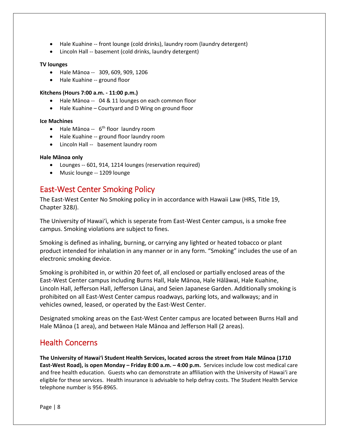- Hale Kuahine -- front lounge (cold drinks), laundry room (laundry detergent)
- Lincoln Hall ‐‐ basement (cold drinks, laundry detergent)

#### **TV lounges**

- Hale Mānoa -- 309, 609, 909, 1206
- Hale Kuahine -- ground floor

#### **Kitchens (Hours 7:00 a.m. ‐ 11:00 p.m.)**

- Hale Mānoa -- 04 & 11 lounges on each common floor
- Hale Kuahine Courtyard and D Wing on ground floor

#### **Ice Machines**

- Hale Mānoa --  $6<sup>th</sup>$  floor laundry room
- Hale Kuahine -- ground floor laundry room
- Lincoln Hall -- basement laundry room

#### **Hale Mānoa only**

- Lounges -- 601, 914, 1214 lounges (reservation required)
- Music lounge -- 1209 lounge

# East‐West Center Smoking Policy

The East‐West Center No Smoking policy in in accordance with Hawaii Law (HRS, Title 19, Chapter 328J).

The University of Hawaiʻi, which is seperate from East‐West Center campus, is a smoke free campus. Smoking violations are subject to fines.

Smoking is defined as inhaling, burning, or carrying any lighted or heated tobacco or plant product intended for inhalation in any manner or in any form. "Smoking" includes the use of an electronic smoking device.

Smoking is prohibited in, or within 20 feet of, all enclosed or partially enclosed areas of the East‐West Center campus including Burns Hall, Hale Mānoa, Hale Hālāwai, Hale Kuahine, Lincoln Hall, Jefferson Hall, Jefferson Lānai, and Seien Japanese Garden. Additionally smoking is prohibited on all East‐West Center campus roadways, parking lots, and walkways; and in vehicles owned, leased, or operated by the East‐West Center.

Designated smoking areas on the East‐West Center campus are located between Burns Hall and Hale Mānoa (1 area), and between Hale Mānoa and Jefferson Hall (2 areas).

## Health Concerns

**The University of Hawaiʻi Student Health Services, located across the street from Hale Mānoa (1710 East‐West Road), is open Monday – Friday 8:00 a.m. – 4:00 p.m.** Services include low cost medical care and free health education. Guests who can demonstrate an affiliation with the University of Hawaiʻi are eligible for these services. Health insurance is advisable to help defray costs. The Student Health Service telephone number is 956‐8965.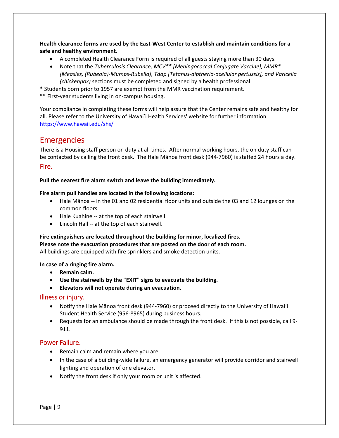**Health clearance forms are used by the East‐West Center to establish and maintain conditions for a safe and healthy environment.**

- A completed Health Clearance Form is required of all guests staying more than 30 days.
- Note that the *Tuberculosis Clearance, MCV\*\* [Meningococcal Conjugate Vaccine], MMR\* [Measles, (Rubeola)‐Mumps‐Rubella], Tdap [Tetanus‐diptheria‐acellular pertussis], and Varicella (chickenpox)* sections must be completed and signed by a health professional.
- \* Students born prior to 1957 are exempt from the MMR vaccination requirement.

\*\* First‐year students living in on‐campus housing.

Your compliance in completing these forms will help assure that the Center remains safe and healthy for all. Please refer to the University of Hawai'i Health Services' website for further information. https://www.hawaii.edu/shs/

### Emergencies

There is a Housing staff person on duty at all times. After normal working hours, the on duty staff can be contacted by calling the front desk. The Hale Mānoa front desk (944‐7960) is staffed 24 hours a day. Fire.

**Pull the nearest fire alarm switch and leave the building immediately.**

#### **Fire alarm pull handles are located in the following locations:**

- Hale Mānoa -- in the 01 and 02 residential floor units and outside the 03 and 12 lounges on the common floors.
- Hale Kuahine -- at the top of each stairwell.
- Lincoln Hall -- at the top of each stairwell.

#### **Fire extinguishers are located throughout the building for minor, localized fires.**

**Please note the evacuation procedures that are posted on the door of each room.** 

All buildings are equipped with fire sprinklers and smoke detection units.

#### **In case of a ringing fire alarm.**

- **•** Remain calm.
- **Use the stairwells by the "EXIT" signs to evacuate the building.**
- **Elevators will not operate during an evacuation.**

#### Illness or injury.

- Notify the Hale Mānoa front desk (944‐7960) or proceed directly to the University of Hawaiʻi Student Health Service (956‐8965) during business hours.
- Requests for an ambulance should be made through the front desk. If this is not possible, call 9-911.

#### Power Failure.

- Remain calm and remain where you are.
- In the case of a building-wide failure, an emergency generator will provide corridor and stairwell lighting and operation of one elevator.
- Notify the front desk if only your room or unit is affected.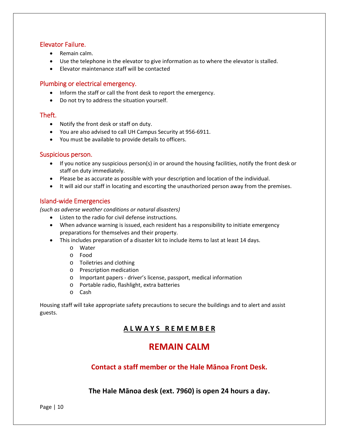#### Elevator Failure.

- Remain calm.
- Use the telephone in the elevator to give information as to where the elevator is stalled.
- Elevator maintenance staff will be contacted

#### Plumbing or electrical emergency.

- Inform the staff or call the front desk to report the emergency.
- Do not try to address the situation yourself.

#### Theft.

- Notify the front desk or staff on duty.
- You are also advised to call UH Campus Security at 956‐6911.
- You must be available to provide details to officers.

#### Suspicious person.

- If you notice any suspicious person(s) in or around the housing facilities, notify the front desk or staff on duty immediately.
- Please be as accurate as possible with your description and location of the individual.
- It will aid our staff in locating and escorting the unauthorized person away from the premises.

#### Island‐wide Emergencies

*(such as adverse weather conditions or natural disasters)* 

- Listen to the radio for civil defense instructions.
- When advance warning is issued, each resident has a responsibility to initiate emergency preparations for themselves and their property.
- This includes preparation of a disaster kit to include items to last at least 14 days.
	- o Water
	- o Food
	- o Toiletries and clothing
	- o Prescription medication
	- o Important papers ‐ driver's license, passport, medical information
	- o Portable radio, flashlight, extra batteries
	- o Cash

Housing staff will take appropriate safety precautions to secure the buildings and to alert and assist guests.

## **A L W A Y S R E M E M B E R**

# **REMAIN CALM**

## **Contact a staff member or the Hale Mānoa Front Desk.**

**The Hale Mānoa desk (ext. 7960) is open 24 hours a day.**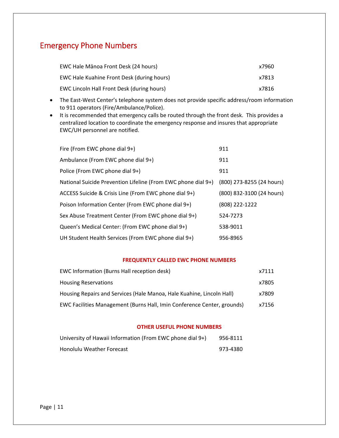# Emergency Phone Numbers

| EWC Hale Mānoa Front Desk (24 hours)       | x7960 |
|--------------------------------------------|-------|
| EWC Hale Kuahine Front Desk (during hours) | x7813 |
| EWC Lincoln Hall Front Desk (during hours) | x7816 |

- The East-West Center's telephone system does not provide specific address/room information to 911 operators (Fire/Ambulance/Police).
- It is recommended that emergency calls be routed through the front desk. This provides a centralized location to coordinate the emergency response and insures that appropriate EWC/UH personnel are notified.

| Fire (From EWC phone dial 9+)                                 | 911                       |
|---------------------------------------------------------------|---------------------------|
| Ambulance (From EWC phone dial 9+)                            | 911                       |
| Police (From EWC phone dial 9+)                               | 911                       |
| National Suicide Prevention Lifeline (From EWC phone dial 9+) | (800) 273-8255 (24 hours) |
| ACCESS Suicide & Crisis Line (From EWC phone dial 9+)         | (800) 832-3100 (24 hours) |
| Poison Information Center (From EWC phone dial 9+)            | (808) 222-1222            |
| Sex Abuse Treatment Center (From EWC phone dial 9+)           | 524-7273                  |
| Queen's Medical Center: (From EWC phone dial 9+)              | 538-9011                  |
| UH Student Health Services (From EWC phone dial 9+)           | 956-8965                  |

#### **FREQUENTLY CALLED EWC PHONE NUMBERS**

| EWC Information (Burns Hall reception desk)                             | x7111 |
|-------------------------------------------------------------------------|-------|
| <b>Housing Reservations</b>                                             | x7805 |
| Housing Repairs and Services (Hale Manoa, Hale Kuahine, Lincoln Hall)   | x7809 |
| EWC Facilities Management (Burns Hall, Imin Conference Center, grounds) | x7156 |

#### **OTHER USEFUL PHONE NUMBERS**

| University of Hawaii Information (From EWC phone dial 9+) | 956-8111 |
|-----------------------------------------------------------|----------|
| Honolulu Weather Forecast                                 | 973-4380 |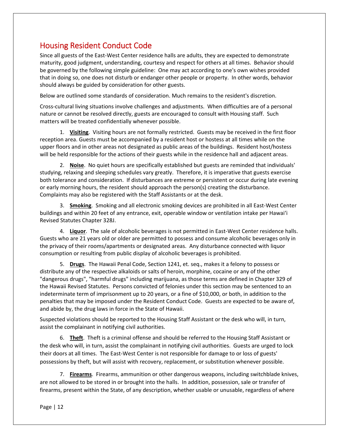# Housing Resident Conduct Code

Since all guests of the East‐West Center residence halls are adults, they are expected to demonstrate maturity, good judgment, understanding, courtesy and respect for others at all times. Behavior should be governed by the following simple guideline: One may act according to one's own wishes provided that in doing so, one does not disturb or endanger other people or property. In other words, behavior should always be guided by consideration for other guests.

Below are outlined some standards of consideration. Much remains to the resident's discretion.

Cross‐cultural living situations involve challenges and adjustments. When difficulties are of a personal nature or cannot be resolved directly, guests are encouraged to consult with Housing staff. Such matters will be treated confidentially whenever possible.

1. **Visiting**. Visiting hours are not formally restricted. Guests may be received in the first floor reception area. Guests must be accompanied by a resident host or hostess at all times while on the upper floors and in other areas not designated as public areas of the buildings. Resident host/hostess will be held responsible for the actions of their guests while in the residence hall and adjacent areas.

2. **Noise**. No quiet hours are specifically established but guests are reminded that individuals' studying, relaxing and sleeping schedules vary greatly. Therefore, it is imperative that guests exercise both tolerance and consideration. If disturbances are extreme or persistent or occur during late evening or early morning hours, the resident should approach the person(s) creating the disturbance. Complaints may also be registered with the Staff Assistants or at the desk.

3. **Smoking**. Smoking and all electronic smoking devices are prohibited in all East‐West Center buildings and within 20 feet of any entrance, exit, operable window or ventilation intake per Hawaiʻi Revised Statutes Chapter 328J.

4. Liquor. The sale of alcoholic beverages is not permitted in East-West Center residence halls. Guests who are 21 years old or older are permitted to possess and consume alcoholic beverages only in the privacy of their rooms/apartments or designated areas. Any disturbance connected with liquor consumption or resulting from public display of alcoholic beverages is prohibited.

5. **Drugs**. The Hawaii Penal Code, Section 1241, et. seq., makes it a felony to possess or distribute any of the respective alkaloids or salts of heroin, morphine, cocaine or any of the other "dangerous drugs", "harmful drugs" including marijuana, as those terms are defined in Chapter 329 of the Hawaii Revised Statutes. Persons convicted of felonies under this section may be sentenced to an indeterminate term of imprisonment up to 20 years, or a fine of \$10,000, or both, in addition to the penalties that may be imposed under the Resident Conduct Code. Guests are expected to be aware of, and abide by, the drug laws in force in the State of Hawaii.

Suspected violations should be reported to the Housing Staff Assistant or the desk who will, in turn, assist the complainant in notifying civil authorities.

6. **Theft**. Theft is a criminal offense and should be referred to the Housing Staff Assistant or the desk who will, in turn, assist the complainant in notifying civil authorities. Guests are urged to lock their doors at all times. The East‐West Center is not responsible for damage to or loss of guests' possessions by theft, but will assist with recovery, replacement, or substitution whenever possible.

7. **Firearms**. Firearms, ammunition or other dangerous weapons, including switchblade knives, are not allowed to be stored in or brought into the halls. In addition, possession, sale or transfer of firearms, present within the State, of any description, whether usable or unusable, regardless of where

Page | 12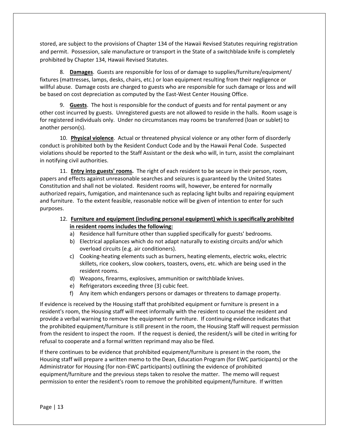stored, are subject to the provisions of Chapter 134 of the Hawaii Revised Statutes requiring registration and permit. Possession, sale manufacture or transport in the State of a switchblade knife is completely prohibited by Chapter 134, Hawaii Revised Statutes.

8. **Damages**. Guests are responsible for loss of or damage to supplies/furniture/equipment/ fixtures (mattresses, lamps, desks, chairs, etc.) or loan equipment resulting from their negligence or willful abuse. Damage costs are charged to guests who are responsible for such damage or loss and will be based on cost depreciation as computed by the East-West Center Housing Office.

9. **Guests**. The host is responsible for the conduct of guests and for rental payment or any other cost incurred by guests. Unregistered guests are not allowed to reside in the halls. Room usage is for registered individuals only. Under no circumstances may rooms be transferred (loan or sublet) to another person(s).

10. **Physical violence**. Actual or threatened physical violence or any other form of disorderly conduct is prohibited both by the Resident Conduct Code and by the Hawaii Penal Code. Suspected violations should be reported to the Staff Assistant or the desk who will, in turn, assist the complainant in notifying civil authorities.

11. **Entry into guests' rooms.** The right of each resident to be secure in their person, room, papers and effects against unreasonable searches and seizures is guaranteed by the United States Constitution and shall not be violated. Resident rooms will, however, be entered for normally authorized repairs, fumigation, and maintenance such as replacing light bulbs and repairing equipment and furniture. To the extent feasible, reasonable notice will be given of intention to enter for such purposes.

12. **Furniture and equipment (including personal equipment) which is specifically prohibited in resident rooms includes the following:**

- a) Residence hall furniture other than supplied specifically for guests' bedrooms.
- b) Electrical appliances which do not adapt naturally to existing circuits and/or which overload circuits (e.g. air conditioners).
- c) Cooking‐heating elements such as burners, heating elements, electric woks, electric skillets, rice cookers, slow cookers, toasters, ovens, etc. which are being used in the resident rooms.
- d) Weapons, firearms, explosives, ammunition or switchblade knives.
- e) Refrigerators exceeding three (3) cubic feet.
- f) Any item which endangers persons or damages or threatens to damage property.

If evidence is received by the Housing staff that prohibited equipment or furniture is present in a resident's room, the Housing staff will meet informally with the resident to counsel the resident and provide a verbal warning to remove the equipment or furniture. If continuing evidence indicates that the prohibited equipment/furniture is still present in the room, the Housing Staff will request permission from the resident to inspect the room. If the request is denied, the resident/s will be cited in writing for refusal to cooperate and a formal written reprimand may also be filed.

If there continues to be evidence that prohibited equipment/furniture is present in the room, the Housing staff will prepare a written memo to the Dean, Education Program (for EWC participants) or the Administrator for Housing (for non‐EWC participants) outlining the evidence of prohibited equipment/furniture and the previous steps taken to resolve the matter. The memo will request permission to enter the resident's room to remove the prohibited equipment/furniture. If written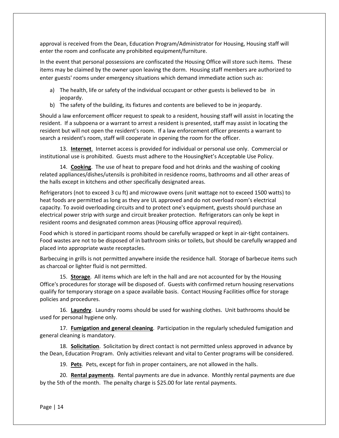approval is received from the Dean, Education Program/Administrator for Housing, Housing staff will enter the room and confiscate any prohibited equipment/furniture.

In the event that personal possessions are confiscated the Housing Office will store such items. These items may be claimed by the owner upon leaving the dorm. Housing staff members are authorized to enter guests' rooms under emergency situations which demand immediate action such as:

- a) The health, life or safety of the individual occupant or other guests is believed to be in jeopardy.
- b) The safety of the building, its fixtures and contents are believed to be in jeopardy.

Should a law enforcement officer request to speak to a resident, housing staff will assist in locating the resident. If a subpoena or a warrant to arrest a resident is presented, staff may assist in locating the resident but will not open the resident's room. If a law enforcement officer presents a warrant to search a resident's room, staff will cooperate in opening the room for the officer.

13. **Internet**. Internet access is provided for individual or personal use only. Commercial or institutional use is prohibited. Guests must adhere to the HousingNet's Acceptable Use Policy.

14. **Cooking**. The use of heat to prepare food and hot drinks and the washing of cooking related appliances/dishes/utensils is prohibited in residence rooms, bathrooms and all other areas of the halls except in kitchens and other specifically designated areas.

Refrigerators (not to exceed 3 cu ft) and microwave ovens (unit wattage not to exceed 1500 watts) to heat foods are permitted as long as they are UL approved and do not overload room's electrical capacity. To avoid overloading circuits and to protect one's equipment, guests should purchase an electrical power strip with surge and circuit breaker protection. Refrigerators can only be kept in resident rooms and designated common areas (Housing office approval required).

Food which is stored in participant rooms should be carefully wrapped or kept in air‐tight containers. Food wastes are not to be disposed of in bathroom sinks or toilets, but should be carefully wrapped and placed into appropriate waste receptacles.

Barbecuing in grills is not permitted anywhere inside the residence hall. Storage of barbecue items such as charcoal or lighter fluid is not permitted.

15. **Storage**. All items which are left in the hall and are not accounted for by the Housing Office's procedures for storage will be disposed of. Guests with confirmed return housing reservations qualify for temporary storage on a space available basis. Contact Housing Facilities office for storage policies and procedures.

16. **Laundry**. Laundry rooms should be used for washing clothes. Unit bathrooms should be used for personal hygiene only.

17. **Fumigation and general cleaning**. Participation in the regularly scheduled fumigation and general cleaning is mandatory.

18. **Solicitation**. Solicitation by direct contact is not permitted unless approved in advance by the Dean, Education Program. Only activities relevant and vital to Center programs will be considered.

19. **Pets**. Pets, except for fish in proper containers, are not allowed in the halls.

20. **Rental payments**. Rental payments are due in advance. Monthly rental payments are due by the 5th of the month. The penalty charge is \$25.00 for late rental payments.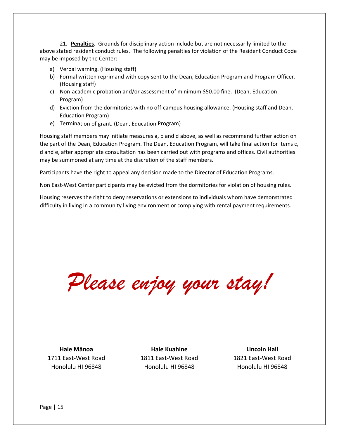21. **Penalties**. Grounds for disciplinary action include but are not necessarily limited to the above stated resident conduct rules. The following penalties for violation of the Resident Conduct Code may be imposed by the Center:

- a) Verbal warning. (Housing staff)
- b) Formal written reprimand with copy sent to the Dean, Education Program and Program Officer. (Housing staff)
- c) Non‐academic probation and/or assessment of minimum \$50.00 fine. (Dean, Education Program)
- d) Eviction from the dormitories with no off-campus housing allowance. (Housing staff and Dean, Education Program)
- e) Termination of grant. (Dean, Education Program)

Housing staff members may initiate measures a, b and d above, as well as recommend further action on the part of the Dean, Education Program. The Dean, Education Program, will take final action for items c, d and e, after appropriate consultation has been carried out with programs and offices. Civil authorities may be summoned at any time at the discretion of the staff members.

Participants have the right to appeal any decision made to the Director of Education Programs.

Non East‐West Center participants may be evicted from the dormitories for violation of housing rules.

Housing reserves the right to deny reservations or extensions to individuals whom have demonstrated difficulty in living in a community living environment or complying with rental payment requirements.

*Please enjoy your stay!* 

**Hale Mānoa** 1711 East‐West Road Honolulu HI 96848

**Hale Kuahine** 1811 East‐West Road Honolulu HI 96848

**Lincoln Hall** 1821 East‐West Road Honolulu HI 96848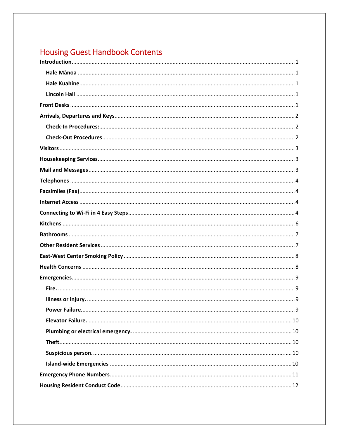# **Housing Guest Handbook Contents**